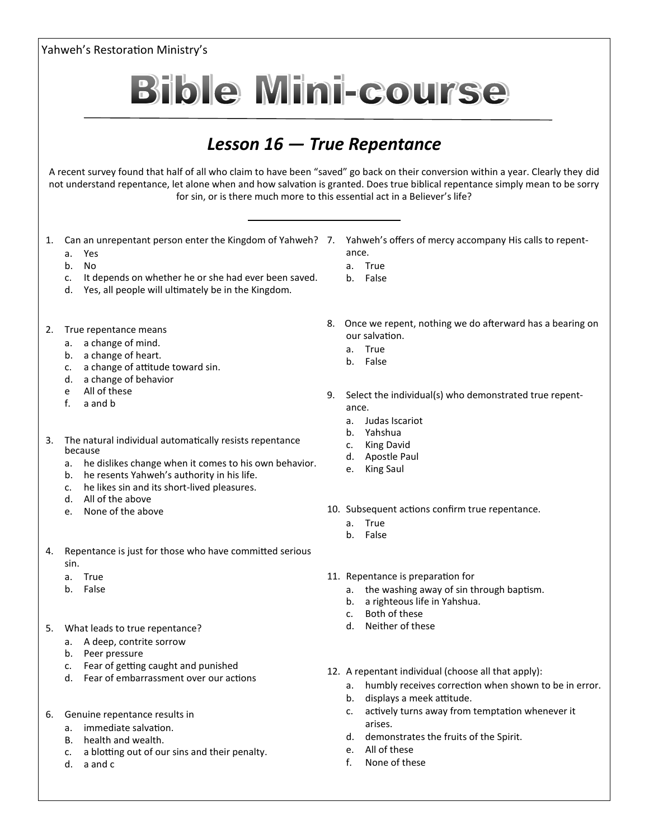Yahweh's Restoration Ministry's **Bible Mini-course** *Lesson 16 — True Repentance* A recent survey found that half of all who claim to have been "saved" go back on their conversion within a year. Clearly they did not understand repentance, let alone when and how salvation is granted. Does true biblical repentance simply mean to be sorry for sin, or is there much more to this essential act in a Believer's life?

- 1. Can an unrepentant person enter the Kingdom of Yahweh? 7. Yahweh's offers of mercy accompany His calls to repent
	- a. Yes
	- b. No
	- c. It depends on whether he or she had ever been saved.
	- d. Yes, all people will ultimately be in the Kingdom.
- 2. True repentance means
	- a. a change of mind.
	- b. a change of heart.
	- c. a change of attitude toward sin.
	- d. a change of behavior
	- e All of these
	- f. a and b
- 3. The natural individual automatically resists repentance because
	- a. he dislikes change when it comes to his own behavior.
	- b. he resents Yahweh's authority in his life.
	- c. he likes sin and its short-lived pleasures.
	- d. All of the above
	- e. None of the above
- 4. Repentance is just for those who have committed serious sin.
	- a. True
	- b. False
- 5. What leads to true repentance?
	- a. A deep, contrite sorrow
	- b. Peer pressure
	- c. Fear of getting caught and punished
	- d. Fear of embarrassment over our actions
- 6. Genuine repentance results in
	- a. immediate salvation.
	- B. health and wealth.
	- c. a blotting out of our sins and their penalty.
	- d. a and c
- ance.
- a. True
- b. False
- 8. Once we repent, nothing we do afterward has a bearing on our salvation.
	- a. True
	- b. False
- 9. Select the individual(s) who demonstrated true repentance.
	- a. Judas Iscariot
	- b. Yahshua
	- c. King David
	- d. Apostle Paul
	- e. King Saul
- 10. Subsequent actions confirm true repentance.
	- a. True
	- b. False
- 11. Repentance is preparation for
	- a. the washing away of sin through baptism.
	- b. a righteous life in Yahshua.
	- c. Both of these
	- d. Neither of these
- 12. A repentant individual (choose all that apply):
	- a. humbly receives correction when shown to be in error.
	- b. displays a meek attitude.
	- c. actively turns away from temptation whenever it arises.
	- d. demonstrates the fruits of the Spirit.
	- e. All of these
	- f. None of these